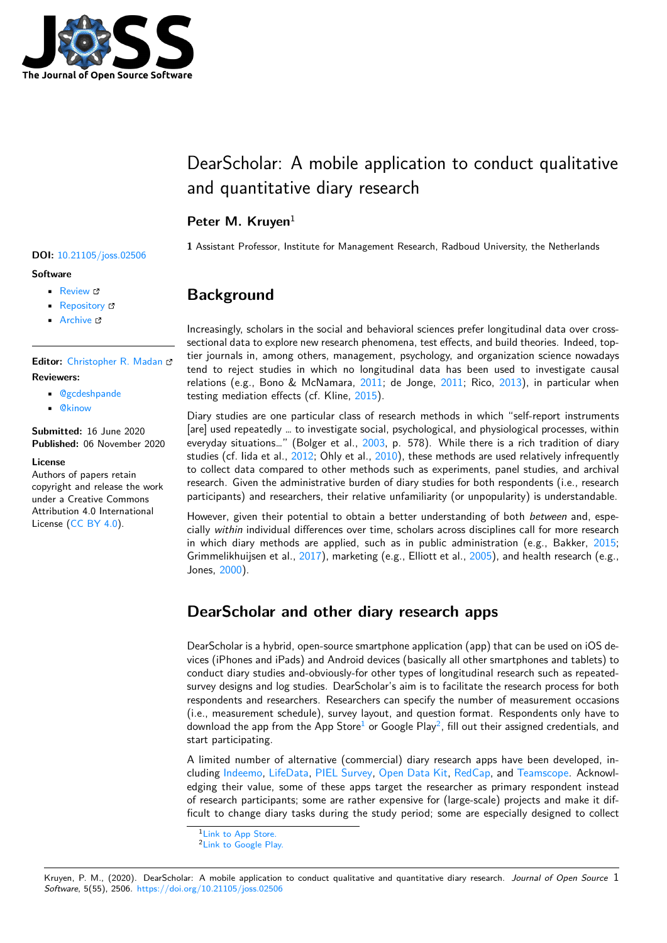

# DearScholar: A mobile application to conduct qualitative and quantitative diary research

### Peter M. Kruyen<sup>1</sup>

**1** Assistant Professor, Institute for Management Research, Radboud University, the Netherlands

# **Background**

Increasingly, scholars in the social and behavioral sciences prefer longitudinal data over crosssectional data to explore new research phenomena, test effects, and build theories. Indeed, toptier journals in, among others, management, psychology, and organization science nowadays tend to reject studies in which no longitudinal data has been used to investigate causal relations (e.g., Bono & McNamara, [2011;](#page-1-1) de Jonge, 2011; Rico, [2013\)](#page-2-0), in particular when testing mediation effects (cf. Kline, [2015\)](#page-2-1).

Diary studies are one particular class of research methods in which "self-report instruments [are] used repeatedly … to investigate social, psychological, and physiological processes, within everyday situations..." (Bolger et al., [2003,](#page-1-2) p. 578). While there is a rich tradition of diary studies (cf. Iida et al., [2012;](#page-2-2) Ohly et al., [2010\)](#page-2-3), these methods are used relatively infrequently to collect data compared to other methods such as experiments, panel studies, and archival research. Given the administrative burden of diary studies for both respondents (i.e., research participants) and researchers, their relative unfamiliarity (or unpopularity) is understandable.

However, given their potential to obtain a better understanding of both *between* and, especially *within* individual differences over time, scholars across disciplines call for more research in which diary methods are applied, such as in public administration (e.g., Bakker, [2015;](#page-1-3) Grimmelikhuijsen et al., [2017](#page-1-4)), marketing (e.g., Elliott et al., [2005](#page-1-5)), and health research (e.g., Jones, [2000\)](#page-2-4).

## **DearScholar and other diary research apps**

DearScholar is a hybrid, open-source smartphone application (app) that can be used on iOS devices (iPhones and iPads) and Android devices (basically all other smartphones and tablets) to conduct diary studies and-obviously-for other types of longitudinal research such as repeatedsurvey designs and log studies. DearScholar's aim is to facilitate the research process for both respondents and researchers. Researchers can specify the number of measurement occasions (i.e., measurement schedule), survey layout, and question format. Respondents only have to download the app from the App Store $^1$  $^1$  or Google Play $^2$  $^2$ , fill out their assigned credentials, and start participating.

A limited number of alternative (commercial) diary research apps have been developed, including [Indeemo](https://www.indeemo.com), [LifeData,](https://www.lifedatacorp.com/) [PIEL Survey](https://pielsurvey.org/), [Open Data Kit,](https://www.opendatakit.org) [RedCap,](https://www.projectredcap.org) and [Teamscope.](https://www.teamscopeapp) Acknowledging their value, some of these apps target the researcher as primary respondent instead of research participants; some are rather expensive for (large-scale) projects and make it difficult to change diary tasks during the study period; some are especially designed to collect

#### **DOI:** [10.21105/joss.02506](https://doi.org/10.21105/joss.02506)

#### **Software**

- **[Review](https://github.com/openjournals/joss-reviews/issues/2506) r?**
- [Repository](https://github.com/pmkruyen/dearscholar.git)  $\circ$
- Archive

**Editor:** [Christopher R. Madan](http://www.cmadan.com) **Reviewers:**

- [@gcdeshpande](https://github.com/gcdeshpande)
- [@kinow](https://github.com/kinow)

**Submitted:** 16 June 2020 **Published:** 06 November 2020

#### **License**

Authors of papers retain copyright and release the work under a Creative Commons Attribution 4.0 International License ([CC BY 4.0\)](http://creativecommons.org/licenses/by/4.0/).

<span id="page-0-0"></span><sup>&</sup>lt;sup>1</sup>[Link to App Store.](https://apps.apple.com/us/app/dearscholar/id1483121589?ls=1)

<span id="page-0-1"></span><sup>2</sup>[Link to Google Play.](https://play.google.com/store/apps/details?id=net.peterkruyen.dearscholar)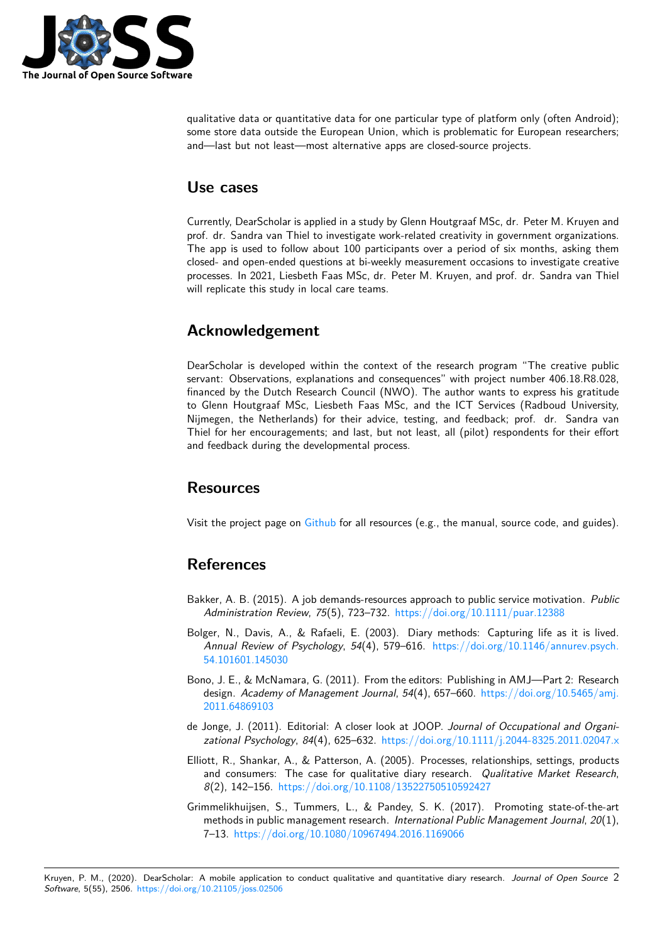

qualitative data or quantitative data for one particular type of platform only (often Android); some store data outside the European Union, which is problematic for European researchers; and—last but not least—most alternative apps are closed-source projects.

### **Use cases**

Currently, DearScholar is applied in a study by Glenn Houtgraaf MSc, dr. Peter M. Kruyen and prof. dr. Sandra van Thiel to investigate work-related creativity in government organizations. The app is used to follow about 100 participants over a period of six months, asking them closed- and open-ended questions at bi-weekly measurement occasions to investigate creative processes. In 2021, Liesbeth Faas MSc, dr. Peter M. Kruyen, and prof. dr. Sandra van Thiel will replicate this study in local care teams.

## **Acknowledgement**

DearScholar is developed within the context of the research program "The creative public servant: Observations, explanations and consequences" with project number 406.18.R8.028, financed by the Dutch Research Council (NWO). The author wants to express his gratitude to Glenn Houtgraaf MSc, Liesbeth Faas MSc, and the ICT Services (Radboud University, Nijmegen, the Netherlands) for their advice, testing, and feedback; prof. dr. Sandra van Thiel for her encouragements; and last, but not least, all (pilot) respondents for their effort and feedback during the developmental process.

### **Resources**

Visit the project page on  $Github$  for all resources (e.g., the manual, source code, and guides).

## **References**

- <span id="page-1-3"></span>Bakker, A. B. (2015). A job demands-resources approach to public service motivation. *Public Administration Review*, *75*(5), 723–732. <https://doi.org/10.1111/puar.12388>
- <span id="page-1-2"></span>Bolger, N., Davis, A., & Rafaeli, E. (2003). Diary methods: Capturing life as it is lived. *Annual Review of Psychology*, *54*(4), 579–616. [https://doi.org/10.1146/annurev.psych.](https://doi.org/10.1146/annurev.psych.54.101601.145030) [54.101601.145030](https://doi.org/10.1146/annurev.psych.54.101601.145030)
- <span id="page-1-0"></span>Bono, J. E., & McNamara, G. (2011). From the editors: Publishing in AMJ—Part 2: Research design. *Academy of Management Journal*, *54*(4), 657–660. [https://doi.org/10.5465/amj.](https://doi.org/10.5465/amj.2011.64869103) [2011.64869103](https://doi.org/10.5465/amj.2011.64869103)
- <span id="page-1-1"></span>de Jonge, J. (2011). Editorial: A closer look at JOOP. *Journal of Occupational and Organizational Psychology*, *84*(4), 625–632. <https://doi.org/10.1111/j.2044-8325.2011.02047.x>
- <span id="page-1-5"></span>Elliott, R., Shankar, A., & Patterson, A. (2005). Processes, relationships, settings, products and consumers: The case for qualitative diary research. *Qualitative Market Research*, *8*(2), 142–156. <https://doi.org/10.1108/13522750510592427>
- <span id="page-1-4"></span>Grimmelikhuijsen, S., Tummers, L., & Pandey, S. K. (2017). Promoting state-of-the-art methods in public management research. *International Public Management Journal*, *20*(1), 7–13. <https://doi.org/10.1080/10967494.2016.1169066>